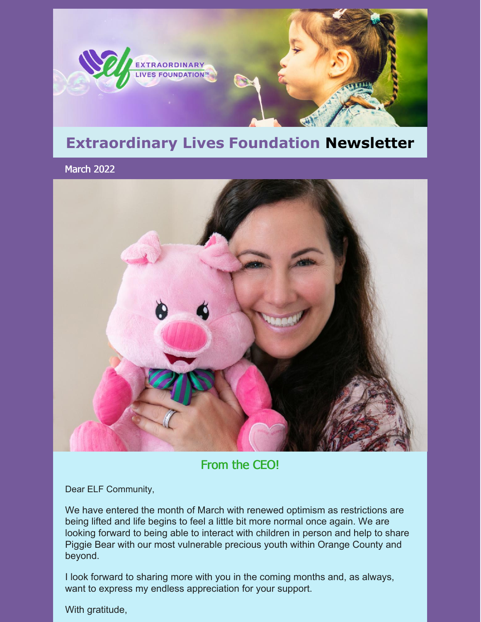

## **Extraordinary Lives Foundation Newsletter**

March 2022



#### From the CEO!

Dear ELF Community,

We have entered the month of March with renewed optimism as restrictions are being lifted and life begins to feel a little bit more normal once again. We are looking forward to being able to interact with children in person and help to share Piggie Bear with our most vulnerable precious youth within Orange County and beyond.

I look forward to sharing more with you in the coming months and, as always, want to express my endless appreciation for your support.

With gratitude,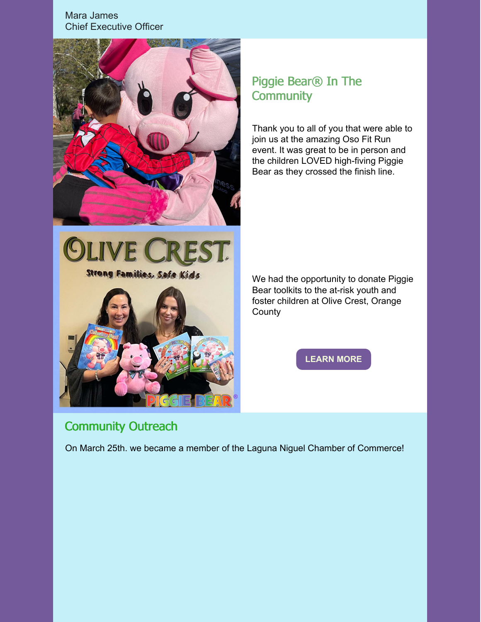Mara [James](mailto:mara@elfempowers.org) Chief Executive Officer



#### Piggie Bear® In The **Community**

Thank you to all of you that were able to join us at the amazing Oso Fit Run event. It was great to be in person and the children LOVED high-fiving Piggie Bear as they crossed the finish line.



We had the opportunity to donate Piggie Bear toolkits to the at-risk youth and foster children at Olive Crest, Orange **County** 

**[LEARN](https://www.elfempowers.org/community-outreach.html) MORE**

### Community Outreach

On March 25th. we became a member of the Laguna Niguel Chamber of Commerce!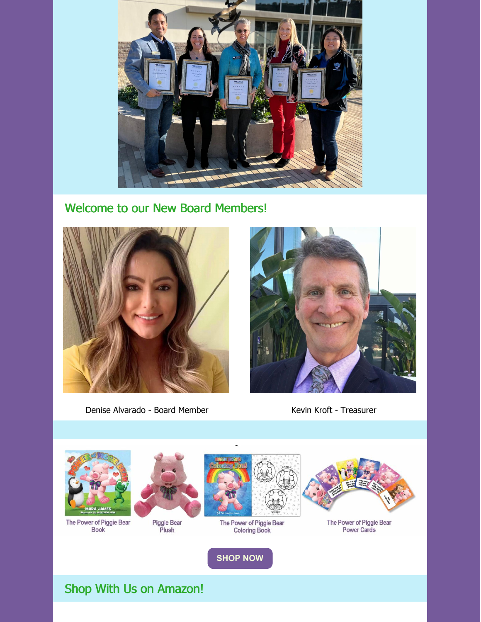

#### Welcome to our New Board Members!